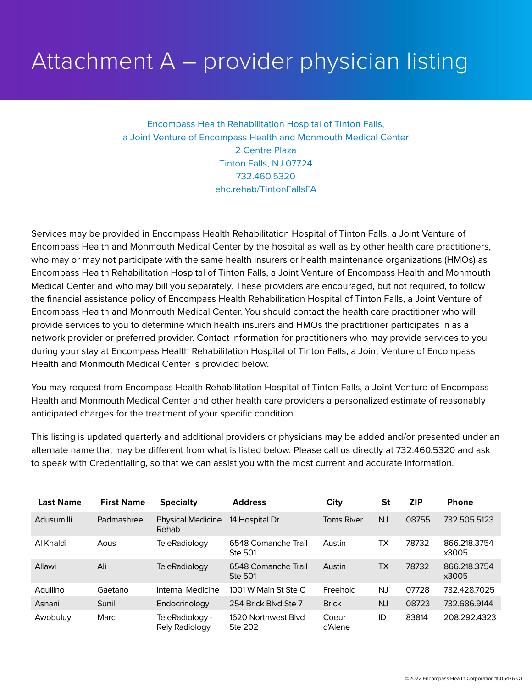## Attachment A – provider physician listing

Encompass Health Rehabilitation Hospital of Tinton Falls, a Joint Venture of Encompass Health and Monmouth Medical Center 2 Centre Plaza Tinton Falls, NJ 07724 732.460.5320 ehc.rehab/TintonFallsFA

Services may be provided in Encompass Health Rehabilitation Hospital of Tinton Falls, a Joint Venture of Encompass Health and Monmouth Medical Center by the hospital as well as by other health care practitioners, who may or may not participate with the same health insurers or health maintenance organizations (HMOs) as Encompass Health Rehabilitation Hospital of Tinton Falls, a Joint Venture of Encompass Health and Monmouth Medical Center and who may bill you separately. These providers are encouraged, but not required, to follow the financial assistance policy of Encompass Health Rehabilitation Hospital of Tinton Falls, a Joint Venture of Encompass Health and Monmouth Medical Center. You should contact the health care practitioner who will provide services to you to determine which health insurers and HMOs the practitioner participates in as a network provider or preferred provider. Contact information for practitioners who may provide services to you during your stay at Encompass Health Rehabilitation Hospital of Tinton Falls, a Joint Venture of Encompass Health and Monmouth Medical Center is provided below.

You may request from Encompass Health Rehabilitation Hospital of Tinton Falls, a Joint Venture of Encompass Health and Monmouth Medical Center and other health care providers a personalized estimate of reasonably anticipated charges for the treatment of your specific condition.

This listing is updated quarterly and additional providers or physicians may be added and/or presented under an alternate name that may be different from what is listed below. Please call us directly at 732.460.5320 and ask to speak with Credentialing, so that we can assist you with the most current and accurate information.

| <b>Last Name</b> | <b>First Name</b> | <b>Specialty</b>                  | <b>Address</b>                        | City              | <b>St</b> | <b>ZIP</b> | <b>Phone</b>          |
|------------------|-------------------|-----------------------------------|---------------------------------------|-------------------|-----------|------------|-----------------------|
| Adusumilli       | Padmashree        | <b>Physical Medicine</b><br>Rehab | 14 Hospital Dr                        | <b>Toms River</b> | NJ.       | 08755      | 732.505.5123          |
| Al Khaldi        | Aous              | TeleRadiology                     | 6548 Comanche Trail<br><b>Ste 501</b> | Austin            | ТX        | 78732      | 866.218.3754<br>x3005 |
| Allawi           | Ali               | TeleRadiology                     | 6548 Comanche Trail<br><b>Ste 501</b> | Austin            | ТX        | 78732      | 866.218.3754<br>x3005 |
| Aquilino         | Gaetano           | Internal Medicine                 | 1001 W Main St Ste C                  | Freehold          | NJ        | 07728      | 732.428.7025          |
| Asnani           | Sunil             | Endocrinology                     | 254 Brick Blvd Ste 7                  | <b>Brick</b>      | <b>NJ</b> | 08723      | 732.686.9144          |
| Awobuluyi        | <b>Marc</b>       | TeleRadiology -<br>Rely Radiology | 1620 Northwest Blvd<br>Ste 202        | Coeur<br>d'Alene  | ID        | 83814      | 208.292.4323          |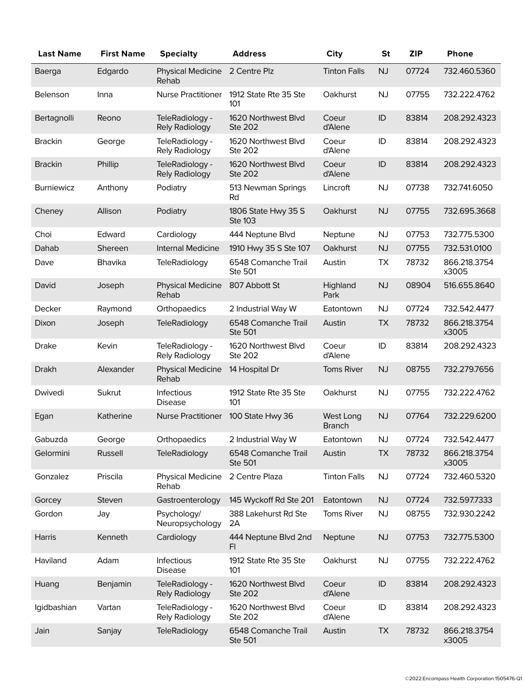| <b>Last Name</b>  | <b>First Name</b> | <b>Specialty</b>                         | <b>Address</b>                        | <b>City</b>                | <b>St</b> | <b>ZIP</b> | Phone                 |
|-------------------|-------------------|------------------------------------------|---------------------------------------|----------------------------|-----------|------------|-----------------------|
| Baerga            | Edgardo           | <b>Physical Medicine</b><br>Rehab        | 2 Centre Plz                          | <b>Tinton Falls</b>        | NJ        | 07724      | 732.460.5360          |
| Belenson          | Inna              | <b>Nurse Practitioner</b>                | 1912 State Rte 35 Ste<br>101          | Oakhurst                   | <b>NJ</b> | 07755      | 732.222.4762          |
| Bertagnolli       | Reono             | TeleRadiology -<br>Rely Radiology        | 1620 Northwest Blvd<br><b>Ste 202</b> | Coeur<br>d'Alene           | ID        | 83814      | 208.292.4323          |
| <b>Brackin</b>    | George            | TeleRadiology -<br>Rely Radiology        | 1620 Northwest Blvd<br>Ste 202        | Coeur<br>d'Alene           | ID        | 83814      | 208.292.4323          |
| <b>Brackin</b>    | Phillip           | TeleRadiology -<br>Rely Radiology        | 1620 Northwest Blvd<br><b>Ste 202</b> | Coeur<br>d'Alene           | ID        | 83814      | 208.292.4323          |
| <b>Burniewicz</b> | Anthony           | Podiatry                                 | 513 Newman Springs<br>Rd              | Lincroft                   | NJ        | 07738      | 732.741.6050          |
| Cheney            | Allison           | Podiatry                                 | 1806 State Hwy 35 S<br><b>Ste 103</b> | Oakhurst                   | NJ        | 07755      | 732.695.3668          |
| Choi              | Edward            | Cardiology                               | 444 Neptune Blvd                      | Neptune                    | <b>NJ</b> | 07753      | 732.775.5300          |
| Dahab             | Shereen           | <b>Internal Medicine</b>                 | 1910 Hwy 35 S Ste 107                 | Oakhurst                   | NJ        | 07755      | 732.531.0100          |
| Dave              | Bhavika           | TeleRadiology                            | 6548 Comanche Trail<br>Ste 501        | Austin                     | <b>TX</b> | 78732      | 866.218.3754<br>x3005 |
| David             | Joseph            | <b>Physical Medicine</b><br>Rehab        | 807 Abbott St                         | Highland<br>Park           | NJ        | 08904      | 516.655.8640          |
| Decker            | Raymond           | Orthopaedics                             | 2 Industrial Way W                    | Eatontown                  | <b>NJ</b> | 07724      | 732.542.4477          |
| Dixon             | Joseph            | TeleRadiology                            | 6548 Comanche Trail<br><b>Ste 501</b> | Austin                     | <b>TX</b> | 78732      | 866.218.3754<br>x3005 |
| <b>Drake</b>      | Kevin             | TeleRadiology -<br>Rely Radiology        | 1620 Northwest Blvd<br>Ste 202        | Coeur<br>d'Alene           | ID        | 83814      | 208.292.4323          |
| <b>Drakh</b>      | Alexander         | <b>Physical Medicine</b><br>Rehab        | 14 Hospital Dr                        | <b>Toms River</b>          | NJ        | 08755      | 732.279.7656          |
| Dwivedi           | Sukrut            | Infectious<br><b>Disease</b>             | 1912 State Rte 35 Ste<br>101          | Oakhurst                   | NJ        | 07755      | 732.222.4762          |
| Egan              | Katherine         | <b>Nurse Practitioner</b>                | 100 State Hwy 36                      | West Long<br><b>Branch</b> | <b>NJ</b> | 07764      | 732.229.6200          |
| Gabuzda           | George            | Orthopaedics                             | 2 Industrial Way W                    | Eatontown                  | <b>NJ</b> | 07724      | 732.542.4477          |
| Gelormini         | <b>Russell</b>    | <b>TeleRadiology</b>                     | 6548 Comanche Trail<br><b>Ste 501</b> | Austin                     | <b>TX</b> | 78732      | 866.218.3754<br>x3005 |
| Gonzalez          | Priscila          | <b>Physical Medicine</b><br>Rehab        | 2 Centre Plaza                        | <b>Tinton Falls</b>        | <b>NJ</b> | 07724      | 732.460.5320          |
| Gorcey            | Steven            | Gastroenterology                         | 145 Wyckoff Rd Ste 201                | Eatontown                  | <b>NJ</b> | 07724      | 732.597.7333          |
| Gordon            | Jay               | Psychology/<br>Neuropsychology           | 388 Lakehurst Rd Ste<br>2A            | <b>Toms River</b>          | NJ        | 08755      | 732.930.2242          |
| Harris            | Kenneth           | Cardiology                               | 444 Neptune Blvd 2nd<br>FI            | Neptune                    | <b>NJ</b> | 07753      | 732.775.5300          |
| Haviland          | Adam              | Infectious<br><b>Disease</b>             | 1912 State Rte 35 Ste<br>101          | Oakhurst                   | NJ        | 07755      | 732.222.4762          |
| Huang             | Benjamin          | TeleRadiology -<br><b>Rely Radiology</b> | 1620 Northwest Blvd<br><b>Ste 202</b> | Coeur<br>d'Alene           | ID        | 83814      | 208.292.4323          |
| Igidbashian       | Vartan            | TeleRadiology -<br>Rely Radiology        | 1620 Northwest Blvd<br><b>Ste 202</b> | Coeur<br>d'Alene           | ID        | 83814      | 208.292.4323          |
| Jain              | Sanjay            | <b>TeleRadiology</b>                     | 6548 Comanche Trail<br><b>Ste 501</b> | Austin                     | <b>TX</b> | 78732      | 866.218.3754<br>x3005 |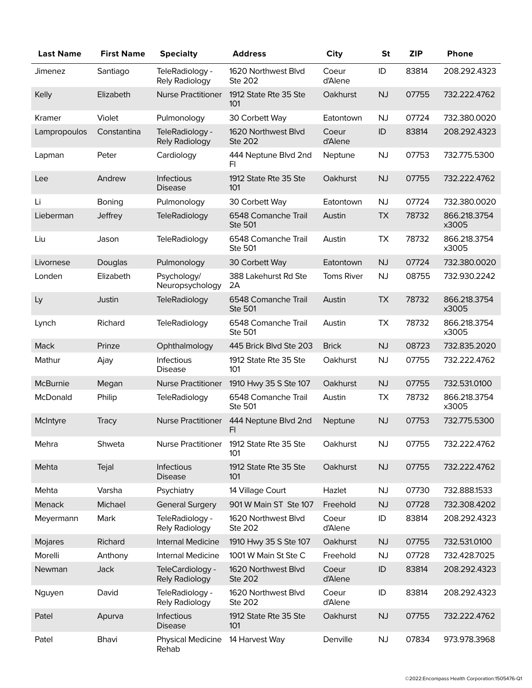| <b>Last Name</b> | <b>First Name</b> | <b>Specialty</b>                   | <b>Address</b>                        | <b>City</b>       | <b>St</b> | <b>ZIP</b> | <b>Phone</b>          |
|------------------|-------------------|------------------------------------|---------------------------------------|-------------------|-----------|------------|-----------------------|
| Jimenez          | Santiago          | TeleRadiology -<br>Rely Radiology  | 1620 Northwest Blvd<br><b>Ste 202</b> | Coeur<br>d'Alene  | ID        | 83814      | 208.292.4323          |
| Kelly            | Elizabeth         | <b>Nurse Practitioner</b>          | 1912 State Rte 35 Ste<br>101          | Oakhurst          | <b>NJ</b> | 07755      | 732.222.4762          |
| Kramer           | Violet            | Pulmonology                        | 30 Corbett Way                        | Eatontown         | <b>NJ</b> | 07724      | 732.380.0020          |
| Lampropoulos     | Constantina       | TeleRadiology -<br>Rely Radiology  | 1620 Northwest Blvd<br><b>Ste 202</b> | Coeur<br>d'Alene  | ID        | 83814      | 208.292.4323          |
| Lapman           | Peter             | Cardiology                         | 444 Neptune Blvd 2nd<br>FI.           | Neptune           | <b>NJ</b> | 07753      | 732.775.5300          |
| Lee              | Andrew            | Infectious<br><b>Disease</b>       | 1912 State Rte 35 Ste<br>101          | Oakhurst          | <b>NJ</b> | 07755      | 732.222.4762          |
| Li               | Boning            | Pulmonology                        | 30 Corbett Way                        | Eatontown         | NJ        | 07724      | 732.380.0020          |
| Lieberman        | Jeffrey           | <b>TeleRadiology</b>               | 6548 Comanche Trail<br><b>Ste 501</b> | Austin            | <b>TX</b> | 78732      | 866.218.3754<br>x3005 |
| Liu              | Jason             | <b>TeleRadiology</b>               | 6548 Comanche Trail<br><b>Ste 501</b> | Austin            | <b>TX</b> | 78732      | 866.218.3754<br>x3005 |
| Livornese        | Douglas           | Pulmonology                        | 30 Corbett Way                        | Eatontown         | <b>NJ</b> | 07724      | 732.380.0020          |
| Londen           | Elizabeth         | Psychology/<br>Neuropsychology     | 388 Lakehurst Rd Ste<br>2A            | <b>Toms River</b> | <b>NJ</b> | 08755      | 732.930.2242          |
| Ly               | Justin            | TeleRadiology                      | 6548 Comanche Trail<br><b>Ste 501</b> | Austin            | <b>TX</b> | 78732      | 866.218.3754<br>x3005 |
| Lynch            | Richard           | TeleRadiology                      | 6548 Comanche Trail<br><b>Ste 501</b> | Austin            | <b>TX</b> | 78732      | 866.218.3754<br>x3005 |
| Mack             | Prinze            | Ophthalmology                      | 445 Brick Blvd Ste 203                | <b>Brick</b>      | <b>NJ</b> | 08723      | 732.835.2020          |
| Mathur           | Ajay              | Infectious<br><b>Disease</b>       | 1912 State Rte 35 Ste<br>101          | Oakhurst          | <b>NJ</b> | 07755      | 732.222.4762          |
| McBurnie         | Megan             | <b>Nurse Practitioner</b>          | 1910 Hwy 35 S Ste 107                 | Oakhurst          | <b>NJ</b> | 07755      | 732.531.0100          |
| McDonald         | Philip            | TeleRadiology                      | 6548 Comanche Trail<br><b>Ste 501</b> | Austin            | TX        | 78732      | 866.218.3754<br>x3005 |
| McIntyre         | <b>Tracy</b>      | <b>Nurse Practitioner</b>          | 444 Neptune Blvd 2nd<br>FI.           | Neptune           | <b>NJ</b> | 07753      | 732.775.5300          |
| Mehra            | Shweta            | <b>Nurse Practitioner</b>          | 1912 State Rte 35 Ste<br>101          | Oakhurst          | <b>NJ</b> | 07755      | 732.222.4762          |
| Mehta            | Tejal             | Infectious<br><b>Disease</b>       | 1912 State Rte 35 Ste<br>101          | Oakhurst          | <b>NJ</b> | 07755      | 732.222.4762          |
| Mehta            | Varsha            | Psychiatry                         | 14 Village Court                      | Hazlet            | NJ        | 07730      | 732.888.1533          |
| Menack           | Michael           | <b>General Surgery</b>             | 901 W Main ST Ste 107                 | Freehold          | <b>NJ</b> | 07728      | 732.308.4202          |
| Meyermann        | Mark              | TeleRadiology -<br>Rely Radiology  | 1620 Northwest Blvd<br><b>Ste 202</b> | Coeur<br>d'Alene  | ID        | 83814      | 208.292.4323          |
| Mojares          | Richard           | Internal Medicine                  | 1910 Hwy 35 S Ste 107                 | Oakhurst          | <b>NJ</b> | 07755      | 732.531.0100          |
| Morelli          | Anthony           | Internal Medicine                  | 1001 W Main St Ste C                  | Freehold          | <b>NJ</b> | 07728      | 732.428.7025          |
| Newman           | Jack              | TeleCardiology -<br>Rely Radiology | 1620 Northwest Blvd<br><b>Ste 202</b> | Coeur<br>d'Alene  | ID        | 83814      | 208.292.4323          |
| Nguyen           | David             | TeleRadiology -<br>Rely Radiology  | 1620 Northwest Blvd<br>Ste 202        | Coeur<br>d'Alene  | ID        | 83814      | 208.292.4323          |
| Patel            | Apurva            | Infectious<br><b>Disease</b>       | 1912 State Rte 35 Ste<br>101          | Oakhurst          | NJ        | 07755      | 732.222.4762          |
| Patel            | Bhavi             | Physical Medicine<br>Rehab         | 14 Harvest Way                        | Denville          | NJ        | 07834      | 973.978.3968          |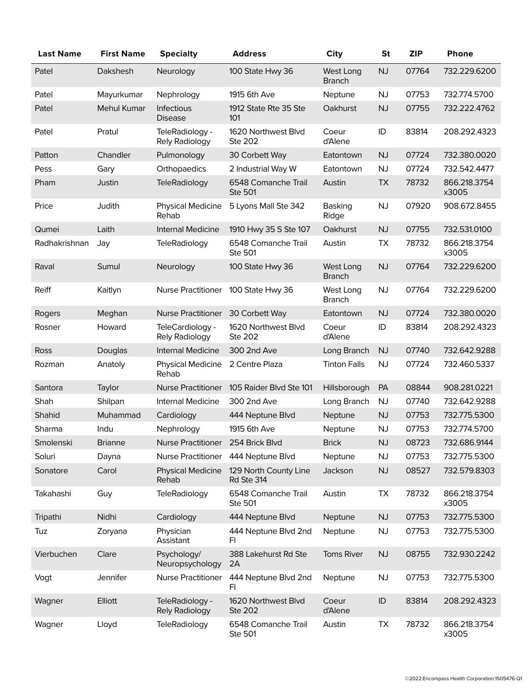| <b>Last Name</b> | <b>First Name</b>  | <b>Specialty</b>                    | <b>Address</b>                        | <b>City</b>                | <b>St</b> | <b>ZIP</b> | <b>Phone</b>          |
|------------------|--------------------|-------------------------------------|---------------------------------------|----------------------------|-----------|------------|-----------------------|
| Patel            | Dakshesh           | Neurology                           | 100 State Hwy 36                      | West Long<br><b>Branch</b> | <b>NJ</b> | 07764      | 732.229.6200          |
| Patel            | Mayurkumar         | Nephrology                          | 1915 6th Ave                          | Neptune                    | NJ        | 07753      | 732.774.5700          |
| Patel            | <b>Mehul Kumar</b> | <b>Infectious</b><br><b>Disease</b> | 1912 State Rte 35 Ste<br>101          | Oakhurst                   | <b>NJ</b> | 07755      | 732.222.4762          |
| Patel            | Pratul             | TeleRadiology -<br>Rely Radiology   | 1620 Northwest Blvd<br>Ste 202        | Coeur<br>d'Alene           | ID        | 83814      | 208.292.4323          |
| Patton           | Chandler           | Pulmonology                         | 30 Corbett Way                        | Eatontown                  | <b>NJ</b> | 07724      | 732.380.0020          |
| Pess             | Gary               | Orthopaedics                        | 2 Industrial Way W                    | Eatontown                  | <b>NJ</b> | 07724      | 732.542.4477          |
| Pham             | Justin             | <b>TeleRadiology</b>                | 6548 Comanche Trail<br><b>Ste 501</b> | Austin                     | <b>TX</b> | 78732      | 866.218.3754<br>x3005 |
| Price            | Judith             | <b>Physical Medicine</b><br>Rehab   | 5 Lyons Mall Ste 342                  | Basking<br>Ridge           | NJ        | 07920      | 908.672.8455          |
| Qumei            | Laith              | Internal Medicine                   | 1910 Hwy 35 S Ste 107                 | Oakhurst                   | <b>NJ</b> | 07755      | 732.531.0100          |
| Radhakrishnan    | Jay                | <b>TeleRadiology</b>                | 6548 Comanche Trail<br><b>Ste 501</b> | Austin                     | <b>TX</b> | 78732      | 866.218.3754<br>x3005 |
| Raval            | Sumul              | Neurology                           | 100 State Hwy 36                      | West Long<br><b>Branch</b> | NJ        | 07764      | 732.229.6200          |
| Reiff            | Kaitlyn            | <b>Nurse Practitioner</b>           | 100 State Hwy 36                      | West Long<br><b>Branch</b> | NJ        | 07764      | 732.229.6200          |
| Rogers           | Meghan             | <b>Nurse Practitioner</b>           | 30 Corbett Way                        | Eatontown                  | <b>NJ</b> | 07724      | 732.380.0020          |
| Rosner           | Howard             | TeleCardiology -<br>Rely Radiology  | 1620 Northwest Blvd<br>Ste 202        | Coeur<br>d'Alene           | ID        | 83814      | 208.292.4323          |
| <b>Ross</b>      | Douglas            | Internal Medicine                   | 300 2nd Ave                           | Long Branch                | NJ        | 07740      | 732.642.9288          |
| Rozman           | Anatoly            | <b>Physical Medicine</b><br>Rehab   | 2 Centre Plaza                        | <b>Tinton Falls</b>        | <b>NJ</b> | 07724      | 732.460.5337          |
| Santora          | Taylor             | <b>Nurse Practitioner</b>           | 105 Raider Blvd Ste 101               | Hillsborough               | PA        | 08844      | 908.281.0221          |
| Shah             | Shilpan            | Internal Medicine                   | 300 2nd Ave                           | Long Branch                | <b>NJ</b> | 07740      | 732.642.9288          |
| Shahid           | Muhammad           | Cardiology                          | 444 Neptune Blvd                      | Neptune                    | <b>NJ</b> | 07753      | 732.775.5300          |
| Sharma           | Indu               | Nephrology                          | 1915 6th Ave                          | Neptune                    | <b>NJ</b> | 07753      | 732.774.5700          |
| Smolenski        | <b>Brianne</b>     | Nurse Practitioner 254 Brick Blvd   |                                       | <b>Brick</b>               | NJ        | 08723      | 732.686.9144          |
| Soluri           | Dayna              | Nurse Practitioner                  | 444 Neptune Blvd                      | Neptune                    | <b>NJ</b> | 07753      | 732.775.5300          |
| Sonatore         | Carol              | Physical Medicine<br>Rehab          | 129 North County Line<br>Rd Ste 314   | Jackson                    | NJ        | 08527      | 732.579.8303          |
| Takahashi        | Guy                | <b>TeleRadiology</b>                | 6548 Comanche Trail<br><b>Ste 501</b> | Austin                     | TX        | 78732      | 866.218.3754<br>x3005 |
| Tripathi         | Nidhi              | Cardiology                          | 444 Neptune Blvd                      | Neptune                    | <b>NJ</b> | 07753      | 732.775.5300          |
| Tuz              | Zoryana            | Physician<br>Assistant              | 444 Neptune Blvd 2nd<br>FI.           | Neptune                    | <b>NJ</b> | 07753      | 732.775.5300          |
| Vierbuchen       | Clare              | Psychology/<br>Neuropsychology      | 388 Lakehurst Rd Ste<br>2A            | Toms River                 | NJ        | 08755      | 732.930.2242          |
| Vogt             | Jennifer           | Nurse Practitioner                  | 444 Neptune Blvd 2nd<br>F1            | Neptune                    | <b>NJ</b> | 07753      | 732.775.5300          |
| Wagner           | Elliott            | TeleRadiology -<br>Rely Radiology   | 1620 Northwest Blvd<br><b>Ste 202</b> | Coeur<br>d'Alene           | $\sf ID$  | 83814      | 208.292.4323          |
| Wagner           | Lloyd              | TeleRadiology                       | 6548 Comanche Trail<br>Ste 501        | Austin                     | TX        | 78732      | 866.218.3754<br>x3005 |